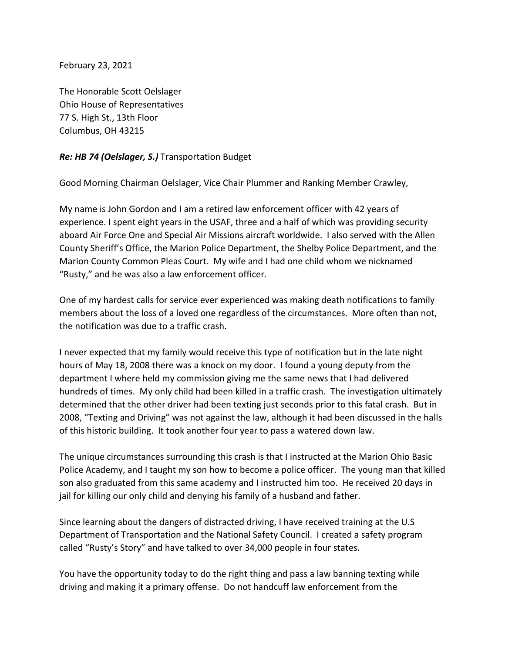February 23, 2021

The Honorable Scott Oelslager Ohio House of Representatives 77 S. High St., 13th Floor Columbus, OH 43215

## *Re: HB 74 (Oelslager, S.)* Transportation Budget

Good Morning Chairman Oelslager, Vice Chair Plummer and Ranking Member Crawley,

My name is John Gordon and I am a retired law enforcement officer with 42 years of experience. I spent eight years in the USAF, three and a half of which was providing security aboard Air Force One and Special Air Missions aircraft worldwide. I also served with the Allen County Sheriff's Office, the Marion Police Department, the Shelby Police Department, and the Marion County Common Pleas Court. My wife and I had one child whom we nicknamed "Rusty," and he was also a law enforcement officer.

One of my hardest calls for service ever experienced was making death notifications to family members about the loss of a loved one regardless of the circumstances. More often than not, the notification was due to a traffic crash.

I never expected that my family would receive this type of notification but in the late night hours of May 18, 2008 there was a knock on my door. I found a young deputy from the department I where held my commission giving me the same news that I had delivered hundreds of times. My only child had been killed in a traffic crash. The investigation ultimately determined that the other driver had been texting just seconds prior to this fatal crash. But in 2008, "Texting and Driving" was not against the law, although it had been discussed in the halls of this historic building. It took another four year to pass a watered down law.

The unique circumstances surrounding this crash is that I instructed at the Marion Ohio Basic Police Academy, and I taught my son how to become a police officer. The young man that killed son also graduated from this same academy and I instructed him too. He received 20 days in jail for killing our only child and denying his family of a husband and father.

Since learning about the dangers of distracted driving, I have received training at the U.S Department of Transportation and the National Safety Council. I created a safety program called "Rusty's Story" and have talked to over 34,000 people in four states.

You have the opportunity today to do the right thing and pass a law banning texting while driving and making it a primary offense. Do not handcuff law enforcement from the